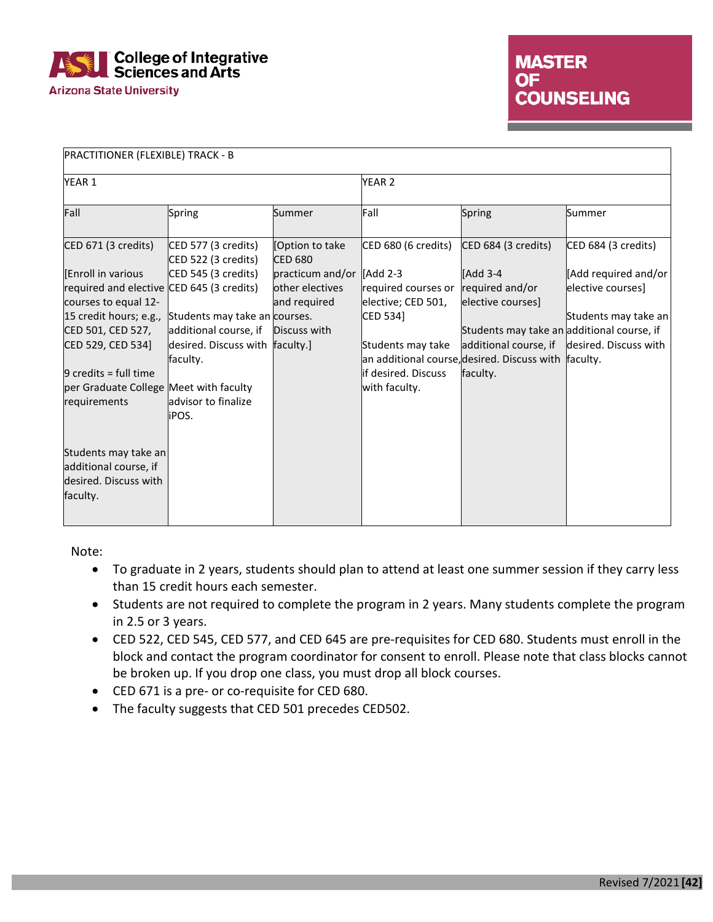

| PRACTITIONER (FLEXIBLE) TRACK - B                                                                                                                                                                                                                      |                                                                                                                                                    |                                                                                  |                                                                                                                                       |                                                                                                                                                                                                                          |                                                                   |  |
|--------------------------------------------------------------------------------------------------------------------------------------------------------------------------------------------------------------------------------------------------------|----------------------------------------------------------------------------------------------------------------------------------------------------|----------------------------------------------------------------------------------|---------------------------------------------------------------------------------------------------------------------------------------|--------------------------------------------------------------------------------------------------------------------------------------------------------------------------------------------------------------------------|-------------------------------------------------------------------|--|
| YEAR 1                                                                                                                                                                                                                                                 |                                                                                                                                                    |                                                                                  | YEAR <sub>2</sub>                                                                                                                     |                                                                                                                                                                                                                          |                                                                   |  |
| Fall                                                                                                                                                                                                                                                   | Spring                                                                                                                                             | Summer                                                                           | Fall                                                                                                                                  | Spring                                                                                                                                                                                                                   | Summer                                                            |  |
| CED 671 (3 credits)                                                                                                                                                                                                                                    | CED 577 (3 credits)<br>CED 522 (3 credits)                                                                                                         | [Option to take<br><b>CED 680</b>                                                | CED 680 (6 credits)                                                                                                                   | CED 684 (3 credits)                                                                                                                                                                                                      | CED 684 (3 credits)                                               |  |
| <b>Enroll in various</b><br>required and elective CED 645 (3 credits)<br>courses to equal 12-<br>15 credit hours; e.g.,<br>CED 501, CED 527,<br>CED 529, CED 534]<br>$9$ credits = full time<br>per Graduate College Meet with faculty<br>requirements | CED 545 (3 credits)<br>Students may take an courses.<br>additional course, if<br>desired. Discuss with<br>faculty.<br>advisor to finalize<br>iPOS. | practicum and/or<br>other electives<br>and required<br>Discuss with<br>faculty.] | <b>IAdd 2-3</b><br>required courses or<br>elective; CED 501,<br>CED 534]<br>Students may take<br>if desired. Discuss<br>with faculty. | <b>IAdd 3-4</b><br>required and/or<br>elective courses]<br>Students may take an additional course, if<br>additional course, if desired. Discuss with<br>an additional course, desired. Discuss with faculty.<br>faculty. | [Add required and/or<br>elective courses]<br>Students may take an |  |
| Students may take an<br>additional course, if<br>desired. Discuss with<br>faculty.                                                                                                                                                                     |                                                                                                                                                    |                                                                                  |                                                                                                                                       |                                                                                                                                                                                                                          |                                                                   |  |

Note:

- To graduate in 2 years, students should plan to attend at least one summer session if they carry less than 15 credit hours each semester.
- Students are not required to complete the program in 2 years. Many students complete the program in 2.5 or 3 years.
- CED 522, CED 545, CED 577, and CED 645 are pre-requisites for CED 680. Students must enroll in the block and contact the program coordinator for consent to enroll. Please note that class blocks cannot be broken up. If you drop one class, you must drop all block courses.
- CED 671 is a pre- or co-requisite for CED 680.
- The faculty suggests that CED 501 precedes CED502.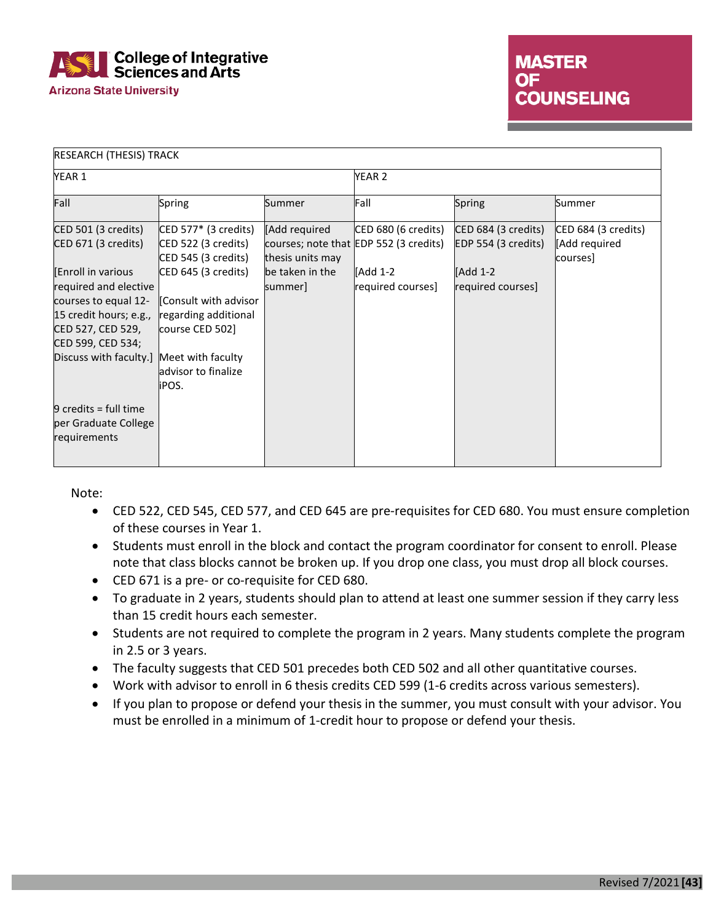

| <b>RESEARCH (THESIS) TRACK</b>                                                                                                             |                                                                                                                                                        |                                                                 |                                                                                                |                                                                             |                                                  |
|--------------------------------------------------------------------------------------------------------------------------------------------|--------------------------------------------------------------------------------------------------------------------------------------------------------|-----------------------------------------------------------------|------------------------------------------------------------------------------------------------|-----------------------------------------------------------------------------|--------------------------------------------------|
| YEAR 1                                                                                                                                     |                                                                                                                                                        |                                                                 | YEAR 2                                                                                         |                                                                             |                                                  |
| Fall                                                                                                                                       | Spring                                                                                                                                                 | Summer                                                          | Fall                                                                                           | Spring                                                                      | Summer                                           |
| CED 501 (3 credits)<br>CED 671 (3 credits)<br>Enroll in various<br>required and elective<br>courses to equal 12-<br>15 credit hours; e.g., | $\mathsf{CED}\,577^*$ (3 credits)<br>CED 522 (3 credits)<br>CED 545 (3 credits)<br>CED 645 (3 credits)<br>Consult with advisor<br>regarding additional | [Add required<br>thesis units may<br>be taken in the<br>summer] | CED 680 (6 credits)<br>courses; note that EDP 552 (3 credits)<br>[Add 1-2<br>required courses] | CED 684 (3 credits)<br>EDP 554 (3 credits)<br>[Add 1-2<br>required courses] | CED 684 (3 credits)<br>[Add required<br>courses] |
| CED 527, CED 529,<br>CED 599, CED 534;<br>Discuss with faculty.]                                                                           | course CED 502]<br>Meet with faculty<br>advisor to finalize<br>iPOS.                                                                                   |                                                                 |                                                                                                |                                                                             |                                                  |
| $9$ credits = full time<br>per Graduate College<br>requirements                                                                            |                                                                                                                                                        |                                                                 |                                                                                                |                                                                             |                                                  |

Note:

- CED 522, CED 545, CED 577, and CED 645 are pre-requisites for CED 680. You must ensure completion of these courses in Year 1.
- Students must enroll in the block and contact the program coordinator for consent to enroll. Please note that class blocks cannot be broken up. If you drop one class, you must drop all block courses.
- CED 671 is a pre- or co-requisite for CED 680.
- To graduate in 2 years, students should plan to attend at least one summer session if they carry less than 15 credit hours each semester.
- Students are not required to complete the program in 2 years. Many students complete the program in 2.5 or 3 years.
- The faculty suggests that CED 501 precedes both CED 502 and all other quantitative courses.
- Work with advisor to enroll in 6 thesis credits CED 599 (1-6 credits across various semesters).
- If you plan to propose or defend your thesis in the summer, you must consult with your advisor. You must be enrolled in a minimum of 1-credit hour to propose or defend your thesis.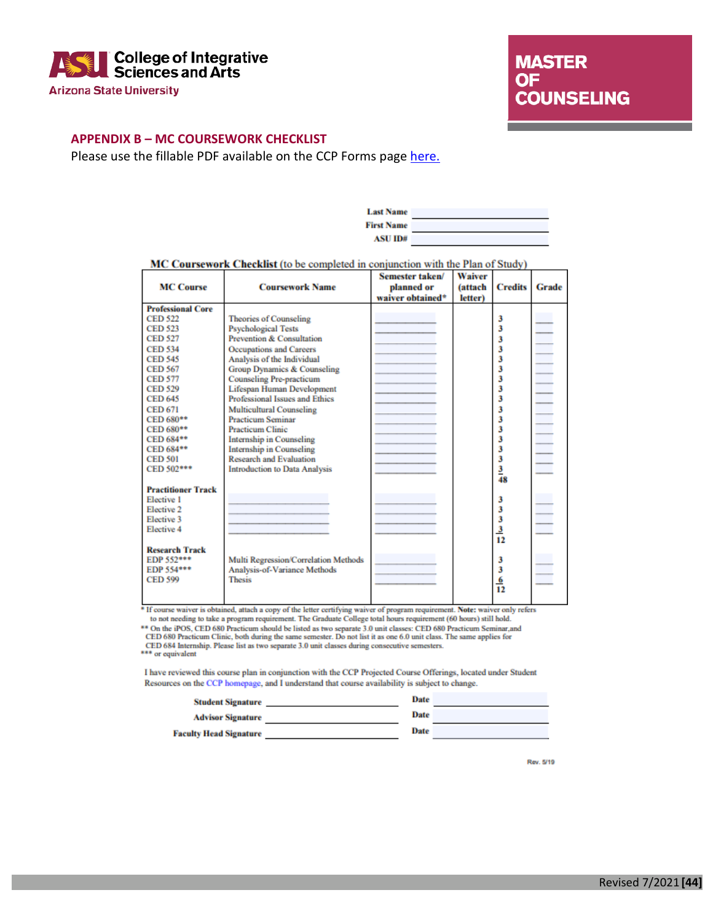

**MASTER OF COUNSELING** 

#### **APPENDIX B – MC COURSEWORK CHECKLIST**

Please use the fillable PDF available on the CCP Forms page [here.](https://cisa.asu.edu/graduate/ccp/forms)

| <b>Last Name</b>  |  |
|-------------------|--|
| <b>First Name</b> |  |
| ASU ID#           |  |

|--|

|                           |                                       | Semester taken/  | Waiver         |                |       |
|---------------------------|---------------------------------------|------------------|----------------|----------------|-------|
| <b>MC Course</b>          | <b>Coursework Name</b>                | planned or       | <i>(attach</i> | <b>Credits</b> | Grade |
|                           |                                       | waiver obtained* | letter)        |                |       |
| <b>Professional Core</b>  |                                       |                  |                |                |       |
| <b>CED 522</b>            | <b>Theories of Counseling</b>         |                  |                | 3              |       |
| <b>CED 523</b>            | <b>Psychological Tests</b>            |                  |                | 3              |       |
| <b>CED 527</b>            | Prevention & Consultation             |                  |                | 3              |       |
| <b>CED 534</b>            | <b>Occupations and Careers</b>        |                  |                | 3              |       |
| <b>CED 545</b>            | Analysis of the Individual            |                  |                | 3              |       |
| <b>CED 567</b>            | Group Dynamics & Counseling           |                  |                | 3              |       |
| <b>CED 577</b>            | <b>Counseling Pre-practicum</b>       |                  |                | 3              |       |
| <b>CED 529</b>            | Lifespan Human Development            |                  |                | 3              |       |
| <b>CED 645</b>            | <b>Professional Issues and Ethics</b> |                  |                | 3              |       |
| <b>CED 671</b>            | <b>Multicultural Counseling</b>       |                  |                | 3              |       |
| CED 680**                 | <b>Practicum Seminar</b>              |                  |                | 3              |       |
| CED 680**                 | <b>Practicum Clinic</b>               |                  |                | 3              |       |
| CED 684**                 | Internship in Counseling              |                  |                | 3              |       |
| CED 684**                 | <b>Internship in Counseling</b>       |                  |                | 3              |       |
| <b>CED 501</b>            | <b>Research and Evaluation</b>        |                  |                | 3              |       |
| CED 502***                | <b>Introduction to Data Analysis</b>  |                  |                | $\frac{3}{48}$ |       |
|                           |                                       |                  |                |                |       |
| <b>Practitioner Track</b> |                                       |                  |                |                |       |
| <b>Elective 1</b>         |                                       |                  |                | 3              |       |
| Elective 2                |                                       |                  |                | 3              |       |
| <b>Elective 3</b>         |                                       |                  |                | 3              |       |
| Elective 4                |                                       |                  |                | $\frac{3}{12}$ |       |
|                           |                                       |                  |                |                |       |
| <b>Research Track</b>     |                                       |                  |                |                |       |
| EDP 552***                | Multi Regression/Correlation Methods  |                  |                | 3              |       |
| EDP 554***                | Analysis-of-Variance Methods          |                  |                | 3              |       |
| <b>CED 599</b>            | <b>Thesis</b>                         |                  |                | $\frac{6}{12}$ |       |
|                           |                                       |                  |                |                |       |
|                           |                                       |                  |                |                |       |

 $\emph{``If course wavier is obtained, attach a copy of the letter certifying wavier of program requirement. **Note:** wavier only refers to not needing to take a program requirement. The Graduate College total hours requirement (60 hours) still hold. \emph{``• On the iPOS, CED 680 Practicum should be listed as two separate 3.0 unit classes: CED 680 Practicum Seminar, and CED 680 Practicum Clinic, both during the same semester. Do not list it as one 6.0 unit class. The same applies for$ 

CED 684 Internship. Please list as two separate 3.0 unit classes during consecutive semesters.<br>\*\*\* or equivalent

I have reviewed this course plan in conjunction with the CCP Projected Course Offerings, located under Student Resources on the CCP homepage, and I understand that course availability is subject to change.

| <b>Student Signature</b>      | Date        |  |
|-------------------------------|-------------|--|
| <b>Advisor Signature</b>      | <b>Date</b> |  |
| <b>Faculty Head Signature</b> | Date        |  |

Rev. 5/19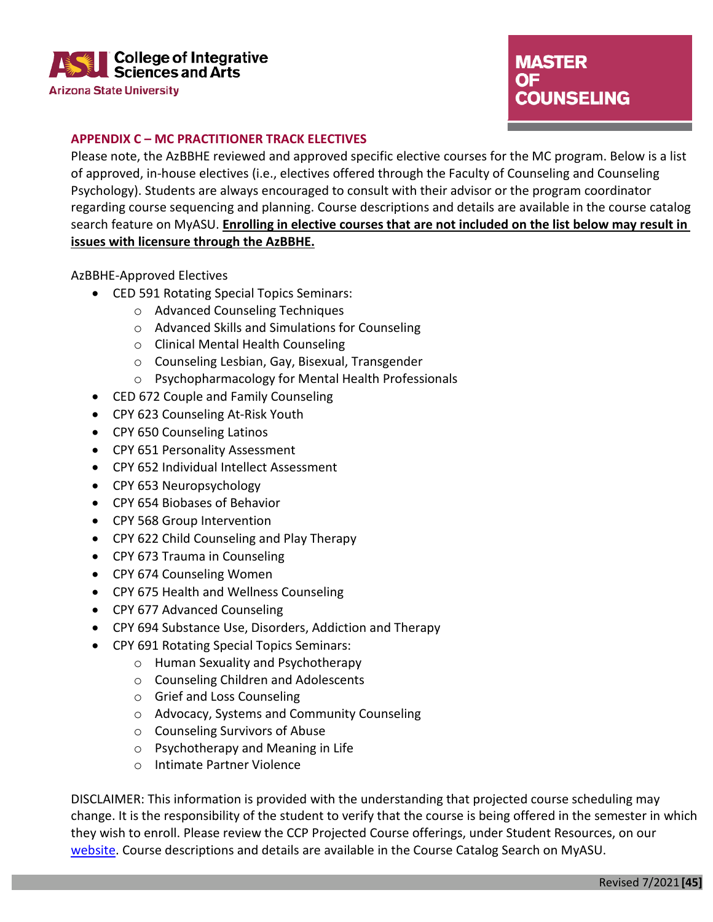

# **MASTER** OF. **COUNSELING**

### **APPENDIX C – MC PRACTITIONER TRACK ELECTIVES**

Please note, the AzBBHE reviewed and approved specific elective courses for the MC program. Below is a list of approved, in-house electives (i.e., electives offered through the Faculty of Counseling and Counseling Psychology). Students are always encouraged to consult with their advisor or the program coordinator regarding course sequencing and planning. Course descriptions and details are available in the course catalog search feature on MyASU. **Enrolling in elective courses that are not included on the list below may result in issues with licensure through the AzBBHE.**

AzBBHE-Approved Electives

- CED 591 Rotating Special Topics Seminars:
	- o Advanced Counseling Techniques
	- o Advanced Skills and Simulations for Counseling
	- o Clinical Mental Health Counseling
	- o Counseling Lesbian, Gay, Bisexual, Transgender
	- o Psychopharmacology for Mental Health Professionals
- CED 672 Couple and Family Counseling
- CPY 623 Counseling At-Risk Youth
- CPY 650 Counseling Latinos
- CPY 651 Personality Assessment
- CPY 652 Individual Intellect Assessment
- CPY 653 Neuropsychology
- CPY 654 Biobases of Behavior
- CPY 568 Group Intervention
- CPY 622 Child Counseling and Play Therapy
- CPY 673 Trauma in Counseling
- CPY 674 Counseling Women
- CPY 675 Health and Wellness Counseling
- CPY 677 Advanced Counseling
- CPY 694 Substance Use, Disorders, Addiction and Therapy
- CPY 691 Rotating Special Topics Seminars:
	- o Human Sexuality and Psychotherapy
	- o Counseling Children and Adolescents
	- o Grief and Loss Counseling
	- o Advocacy, Systems and Community Counseling
	- o Counseling Survivors of Abuse
	- o Psychotherapy and Meaning in Life
	- o Intimate Partner Violence

DISCLAIMER: This information is provided with the understanding that projected course scheduling may change. It is the responsibility of the student to verify that the course is being offered in the semester in which they wish to enroll. Please review the CCP Projected Course offerings, under Student Resources, on our [website.](https://cisa.asu.edu/graduate/ccp/CP_Student-Resources) Course descriptions and details are available in the Course Catalog Search on MyASU.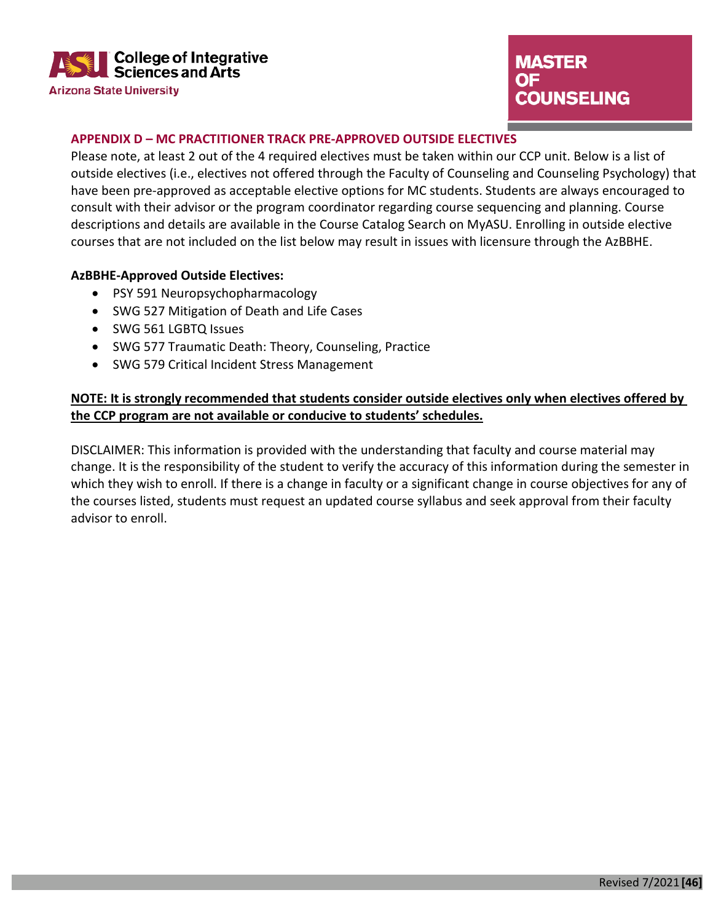

# **MASTER OF COUNSELING**

### **APPENDIX D – MC PRACTITIONER TRACK PRE-APPROVED OUTSIDE ELECTIVES**

Please note, at least 2 out of the 4 required electives must be taken within our CCP unit. Below is a list of outside electives (i.e., electives not offered through the Faculty of Counseling and Counseling Psychology) that have been pre-approved as acceptable elective options for MC students. Students are always encouraged to consult with their advisor or the program coordinator regarding course sequencing and planning. Course descriptions and details are available in the Course Catalog Search on MyASU. Enrolling in outside elective courses that are not included on the list below may result in issues with licensure through the AzBBHE.

### **AzBBHE-Approved Outside Electives:**

- PSY 591 Neuropsychopharmacology
- SWG 527 Mitigation of Death and Life Cases
- SWG 561 LGBTQ Issues
- SWG 577 Traumatic Death: Theory, Counseling, Practice
- SWG 579 Critical Incident Stress Management

### **NOTE: It is strongly recommended that students consider outside electives only when electives offered by the CCP program are not available or conducive to students' schedules.**

DISCLAIMER: This information is provided with the understanding that faculty and course material may change. It is the responsibility of the student to verify the accuracy of this information during the semester in which they wish to enroll. If there is a change in faculty or a significant change in course objectives for any of the courses listed, students must request an updated course syllabus and seek approval from their faculty advisor to enroll.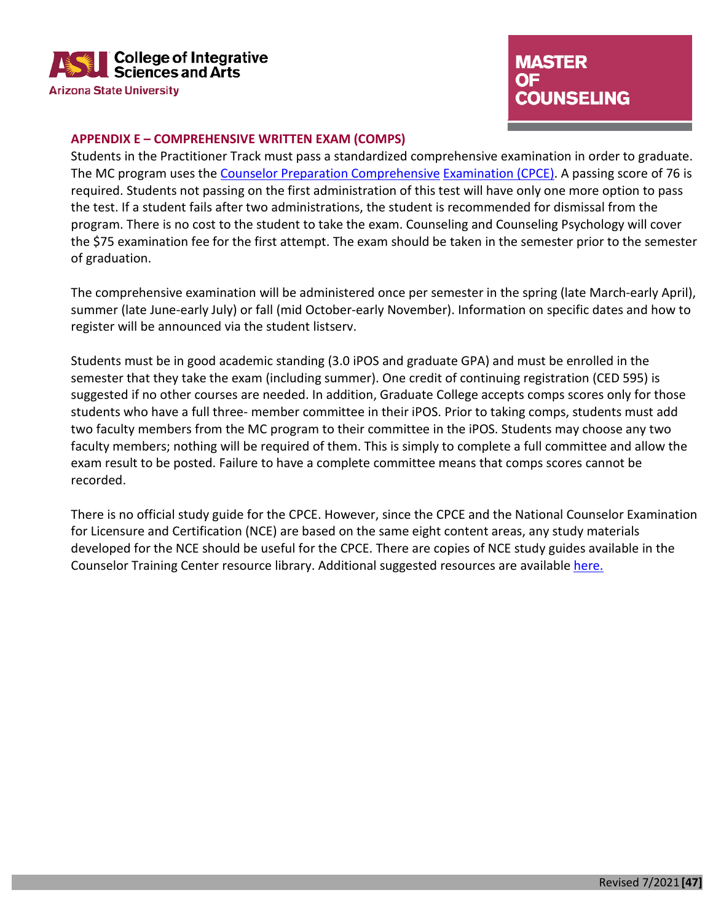

# **MASTER OF COUNSELING**

#### **APPENDIX E – COMPREHENSIVE WRITTEN EXAM (COMPS)**

Students in the Practitioner Track must pass a standardized comprehensive examination in order to graduate. The MC program uses the [Counselor Preparation Comprehensive](http://www.cce-global.org/AssessmentsAndExaminations/CPCE) [Examination \(CPCE\).](http://www.cce-global.org/AssessmentsAndExaminations/CPCE) A passing score of 76 is required. Students not passing on the first administration of this test will have only one more option to pass the test. If a student fails after two administrations, the student is recommended for dismissal from the program. There is no cost to the student to take the exam. Counseling and Counseling Psychology will cover the \$75 examination fee for the first attempt. The exam should be taken in the semester prior to the semester of graduation.

The comprehensive examination will be administered once per semester in the spring (late March-early April), summer (late June-early July) or fall (mid October-early November). Information on specific dates and how to register will be announced via the student listserv.

Students must be in good academic standing (3.0 iPOS and graduate GPA) and must be enrolled in the semester that they take the exam (including summer). One credit of continuing registration (CED 595) is suggested if no other courses are needed. In addition, Graduate College accepts comps scores only for those students who have a full three- member committee in their iPOS. Prior to taking comps, students must add two faculty members from the MC program to their committee in the iPOS. Students may choose any two faculty members; nothing will be required of them. This is simply to complete a full committee and allow the exam result to be posted. Failure to have a complete committee means that comps scores cannot be recorded.

There is no official study guide for the CPCE. However, since the CPCE and the National Counselor Examination for Licensure and Certification (NCE) are based on the same eight content areas, any study materials developed for the NCE should be useful for the CPCE. There are copies of NCE study guides available in the Counselor Training Center resource library. Additional suggested resources are available [here.](http://www.cce-global.org/Assets/CPCE_Textbook_List.pdf)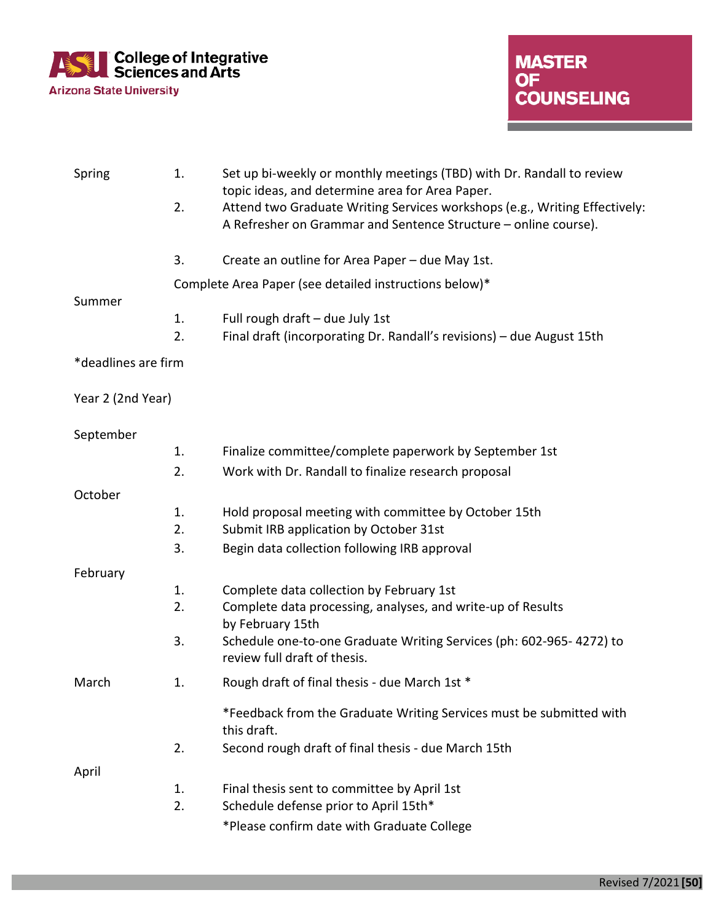

<u>a sa mga sangayon ng mga sangayon ng mga sangayon ng mga sangayon ng mga sangayon ng mga sangayon ng mga sangayon ng mga sangayon ng mga sangayon ng mga sangayon ng mga sangayon ng mga sangayon ng mga sangayon ng mga sang</u>

| Spring              | 1.       | Set up bi-weekly or monthly meetings (TBD) with Dr. Randall to review<br>topic ideas, and determine area for Area Paper.                      |
|---------------------|----------|-----------------------------------------------------------------------------------------------------------------------------------------------|
|                     | 2.       | Attend two Graduate Writing Services workshops (e.g., Writing Effectively:<br>A Refresher on Grammar and Sentence Structure - online course). |
|                     | 3.       | Create an outline for Area Paper - due May 1st.                                                                                               |
|                     |          | Complete Area Paper (see detailed instructions below)*                                                                                        |
| Summer              | 1.<br>2. | Full rough draft - due July 1st<br>Final draft (incorporating Dr. Randall's revisions) - due August 15th                                      |
| *deadlines are firm |          |                                                                                                                                               |
| Year 2 (2nd Year)   |          |                                                                                                                                               |
| September           |          |                                                                                                                                               |
|                     | 1.       | Finalize committee/complete paperwork by September 1st                                                                                        |
|                     | 2.       | Work with Dr. Randall to finalize research proposal                                                                                           |
| October             |          |                                                                                                                                               |
|                     | 1.       | Hold proposal meeting with committee by October 15th                                                                                          |
|                     | 2.       | Submit IRB application by October 31st                                                                                                        |
|                     | 3.       | Begin data collection following IRB approval                                                                                                  |
| February            |          |                                                                                                                                               |
|                     | 1.       | Complete data collection by February 1st                                                                                                      |
|                     | 2.       | Complete data processing, analyses, and write-up of Results<br>by February 15th                                                               |
|                     | 3.       | Schedule one-to-one Graduate Writing Services (ph: 602-965-4272) to<br>review full draft of thesis.                                           |
| March               | 1.       | Rough draft of final thesis - due March 1st *                                                                                                 |
|                     |          | *Feedback from the Graduate Writing Services must be submitted with<br>this draft.                                                            |
|                     | 2.       | Second rough draft of final thesis - due March 15th                                                                                           |
| April               |          |                                                                                                                                               |
|                     | 1.       | Final thesis sent to committee by April 1st                                                                                                   |
|                     | 2.       | Schedule defense prior to April 15th*                                                                                                         |
|                     |          | *Please confirm date with Graduate College                                                                                                    |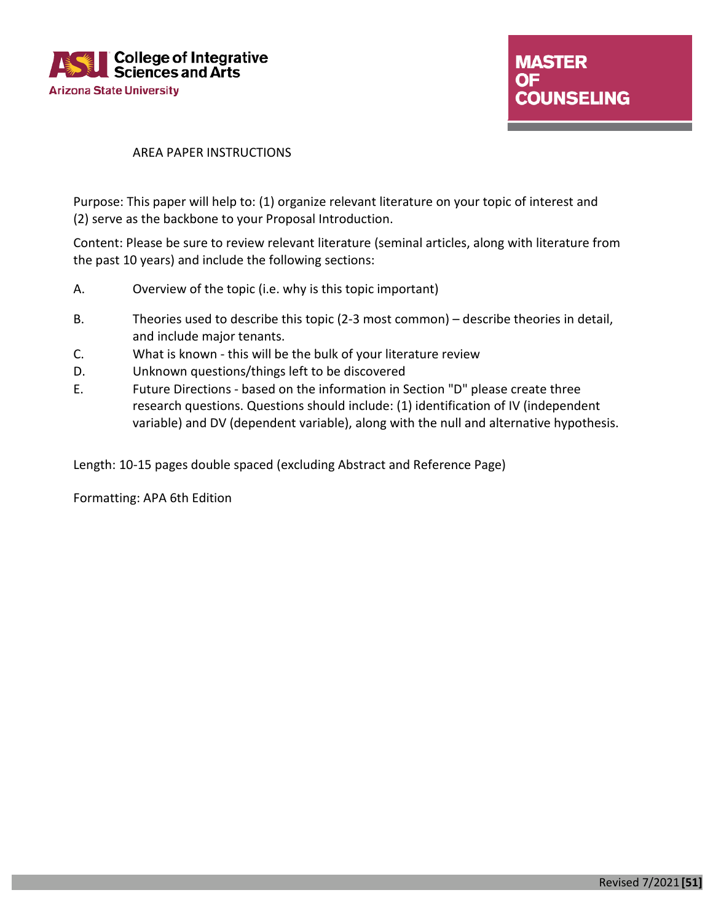

#### AREA PAPER INSTRUCTIONS

Purpose: This paper will help to: (1) organize relevant literature on your topic of interest and (2) serve as the backbone to your Proposal Introduction.

Content: Please be sure to review relevant literature (seminal articles, along with literature from the past 10 years) and include the following sections:

- A. Overview of the topic (i.e. why is this topic important)
- B. Theories used to describe this topic (2-3 most common) describe theories in detail, and include major tenants.
- C. What is known this will be the bulk of your literature review
- D. Unknown questions/things left to be discovered
- E. Future Directions based on the information in Section "D" please create three research questions. Questions should include: (1) identification of IV (independent variable) and DV (dependent variable), along with the null and alternative hypothesis.

Length: 10-15 pages double spaced (excluding Abstract and Reference Page)

Formatting: APA 6th Edition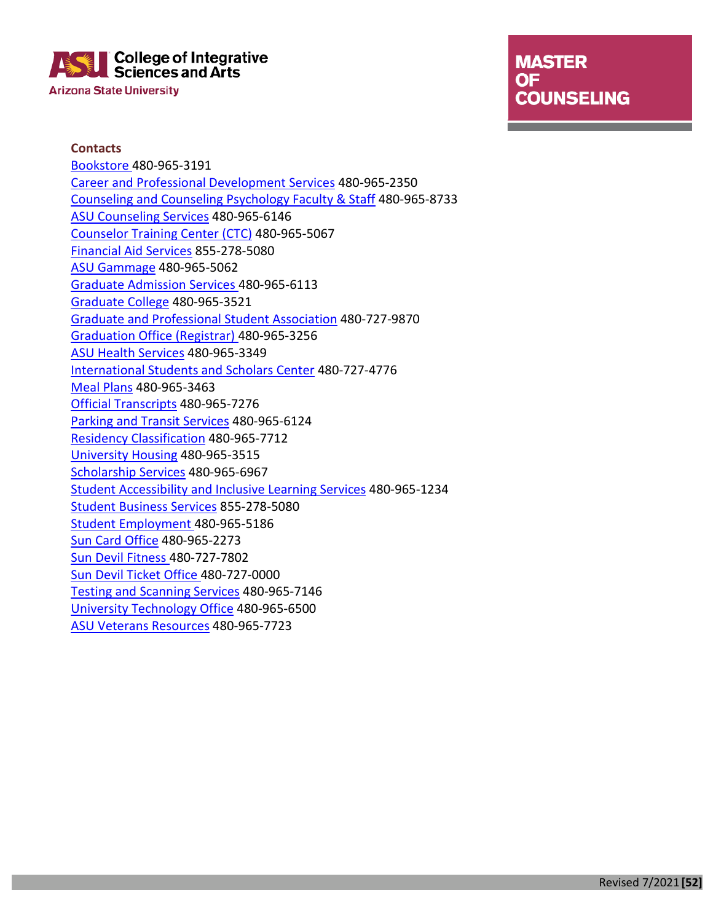## **College of Integrative Sciences and Arts Arizona State University**

# **MASTER OF COUNSELING**

the control of the control of the control of the control of the

**Contacts** [Bookstore 4](https://contact.asu.edu/content/bookstore)80-965-3191 [Career and Professional Development Services](https://career.asu.edu/contact-us) 480-965-2350 [Counseling and Counseling Psychology Faculty & Staff](https://cisa.asu.edu/people/faculty/ccp) 480-965-8733 [ASU Counseling Services](https://eoss.asu.edu/counseling/about-us/location-and-hours) 480-965-6146 [Counselor Training Center \(CTC\)](https://cisa.asu.edu/graduate/ccp/ctc) 480-965-5067 [Financial Aid Services](https://students.asu.edu/financial-aid) 855-278-5080 [ASU Gammage](https://www.asugammage.com/contact) 480-965-5062 [Graduate Admission Services 4](https://admission.asu.edu/contact)80-965-6113 [Graduate College](https://graduate.asu.edu/about/contact-us) 480-965-3521 [Graduate and Professional Student Association](https://gpsa.asu.edu/locations/) 480-727-9870 [Graduation Office \(Registrar\) 4](https://students.asu.edu/contact/office-university-registrar)80-965-3256 [ASU Health Services](https://eoss.asu.edu/health/contact) 480-965-3349 [International Students and Scholars Center](https://issc.asu.edu/contact-us) 480-727-4776 [Meal Plans](https://sundevildining.asu.edu/contact) 480-965-3463 [Official Transcripts](https://students.asu.edu/contact/office-university-registrar) 480-965-7276 [Parking and Transit Services](https://cfo.asu.edu/parking-and-transit-services-contact-information) 480-965-6124 [Residency Classification](https://students.asu.edu/contact/office-university-registrar) 480-965-7712 [University Housing](https://housing.asu.edu/contact-us) 480-965-3515 [Scholarship Services](https://scholarships.asu.edu/) 480-965-6967 [Student Accessibility and Inclusive Learning Services](https://eoss.asu.edu/accessibility) 480-965-1234 [Student Business Services](https://students.asu.edu/contact-tuition-billing) 855-278-5080 [Student Employment 4](https://students.asu.edu/employment)80-965-5186 [Sun Card Office](https://cfo.asu.edu/cardservices) 480-965-2273 [Sun Devil Fitness 4](https://fitness.asu.edu/contact)80-727-7802 [Sun Devil Ticket Office 4](https://thesundevils.com/sports/2013/8/12/209109460.aspx)80-727-0000 [Testing and Scanning Services](https://uoeee.asu.edu/contact-us) 480-965-7146 [University Technology Office](https://uto.asu.edu/contact) 480-965-6500 [ASU Veterans Resources](https://veterans.asu.edu/) 480-965-7723